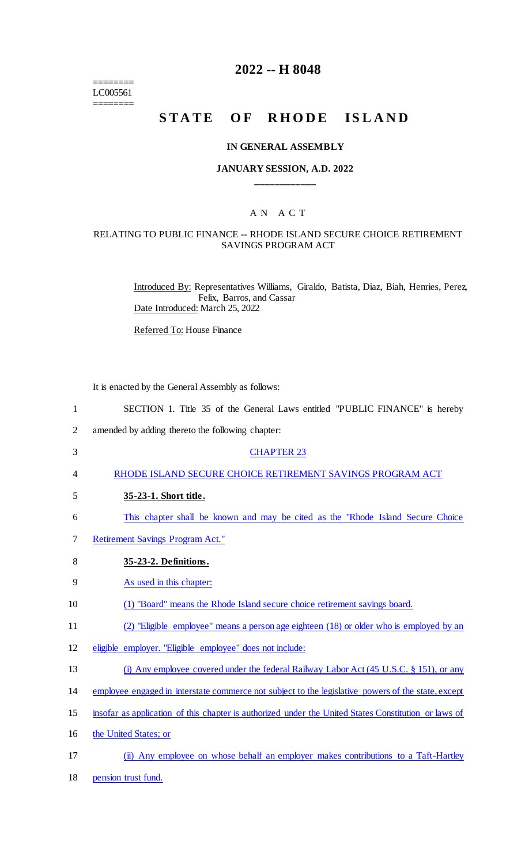======== LC005561 ========

## **2022 -- H 8048**

## **STATE OF RHODE ISLAND**

#### **IN GENERAL ASSEMBLY**

## **JANUARY SESSION, A.D. 2022 \_\_\_\_\_\_\_\_\_\_\_\_**

## A N A C T

#### RELATING TO PUBLIC FINANCE -- RHODE ISLAND SECURE CHOICE RETIREMENT SAVINGS PROGRAM ACT

Introduced By: Representatives Williams, Giraldo, Batista, Diaz, Biah, Henries, Perez, Felix, Barros, and Cassar Date Introduced: March 25, 2022

Referred To: House Finance

It is enacted by the General Assembly as follows:

| $\mathbf{1}$   | SECTION 1. Title 35 of the General Laws entitled "PUBLIC FINANCE" is hereby                          |
|----------------|------------------------------------------------------------------------------------------------------|
| $\overline{2}$ | amended by adding thereto the following chapter:                                                     |
| 3              | <b>CHAPTER 23</b>                                                                                    |
| 4              | RHODE ISLAND SECURE CHOICE RETIREMENT SAVINGS PROGRAM ACT                                            |
| 5              | 35-23-1. Short title.                                                                                |
| 6              | This chapter shall be known and may be cited as the "Rhode Island Secure Choice"                     |
| 7              | <b>Retirement Savings Program Act."</b>                                                              |
| 8              | 35-23-2. Definitions.                                                                                |
| 9              | As used in this chapter:                                                                             |
| 10             | (1) "Board" means the Rhode Island secure choice retirement savings board.                           |
| 11             | (2) "Eligible employee" means a person age eighteen (18) or older who is employed by an              |
| 12             | eligible employer. "Eligible employee" does not include:                                             |
| 13             | (i) Any employee covered under the federal Railway Labor Act (45 U.S.C. § 151), or any               |
| 14             | employee engaged in interstate commerce not subject to the legislative powers of the state, except   |
| 15             | insofar as application of this chapter is authorized under the United States Constitution or laws of |
| 16             | the United States; or                                                                                |
| 17             | (ii) Any employee on whose behalf an employer makes contributions to a Taft-Hartley                  |
| 18             | pension trust fund.                                                                                  |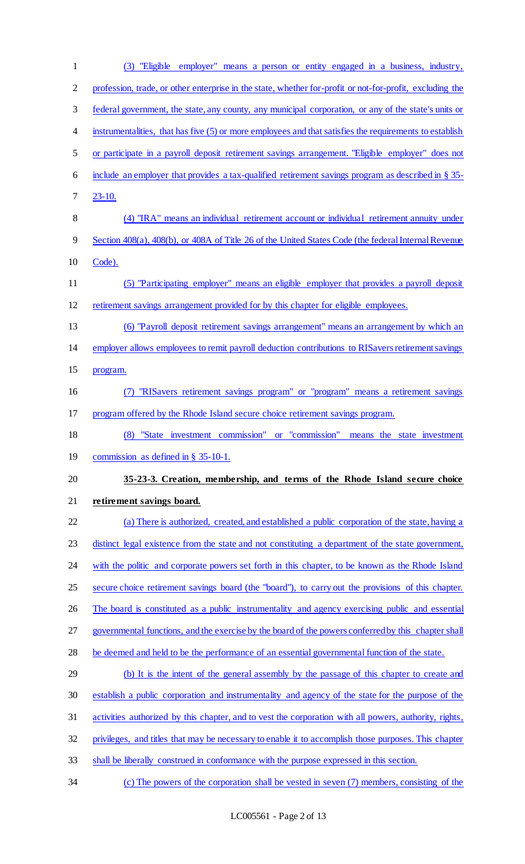| 1              | (3) "Eligible employer" means a person or entity engaged in a business, industry,                        |
|----------------|----------------------------------------------------------------------------------------------------------|
| $\overline{2}$ | profession, trade, or other enterprise in the state, whether for-profit or not-for-profit, excluding the |
| 3              | federal government, the state, any county, any municipal corporation, or any of the state's units or     |
| 4              | instrumentalities, that has five (5) or more employees and that satisfies the requirements to establish  |
| 5              | or participate in a payroll deposit retirement savings arrangement. "Eligible employer" does not         |
| 6              | include an employer that provides a tax-qualified retirement savings program as described in $\S$ 35-    |
| 7              | $23 - 10.$                                                                                               |
| 8              | (4) "IRA" means an individual retirement account or individual retirement annuity under                  |
| 9              | Section 408(a), 408(b), or 408A of Title 26 of the United States Code (the federal Internal Revenue      |
| 10             | Code).                                                                                                   |
| 11             | (5) "Participating employer" means an eligible employer that provides a payroll deposit                  |
| 12             | retirement savings arrangement provided for by this chapter for eligible employees.                      |
| 13             | (6) "Payroll deposit retirement savings arrangement" means an arrangement by which an                    |
| 14             | employer allows employees to remit payroll deduction contributions to RIS avers retirement savings       |
| 15             | program.                                                                                                 |
| 16             | "RISavers retirement savings program" or "program" means a retirement savings                            |
| 17             | program offered by the Rhode Island secure choice retirement savings program.                            |
| 18             | (8) "State investment commission" or "commission" means the state investment                             |
| 19             | commission as defined in $\S$ 35-10-1.                                                                   |
| 20             | 35-23-3. Creation, membership, and terms of the Rhode Island secure choice                               |
| 21             | retirement savings board.                                                                                |
| 22             | (a) There is authorized, created, and established a public corporation of the state, having a            |
| 23             | distinct legal existence from the state and not constituting a department of the state government,       |
| 24             | with the politic and corporate powers set forth in this chapter, to be known as the Rhode Island         |
| 25             | secure choice retirement savings board (the "board"), to carry out the provisions of this chapter.       |
| 26             | The board is constituted as a public instrumentality and agency exercising public and essential          |
| 27             | governmental functions, and the exercise by the board of the powers conferred by this chapter shall      |
| 28             | be deemed and held to be the performance of an essential governmental function of the state.             |
| 29             | (b) It is the intent of the general assembly by the passage of this chapter to create and                |
| 30             | establish a public corporation and instrumentality and agency of the state for the purpose of the        |
| 31             | activities authorized by this chapter, and to vest the corporation with all powers, authority, rights,   |
| 32             | privileges, and titles that may be necessary to enable it to accomplish those purposes. This chapter     |
| 33             | shall be liberally construed in conformance with the purpose expressed in this section.                  |
| 34             | (c) The powers of the corporation shall be vested in seven (7) members, consisting of the                |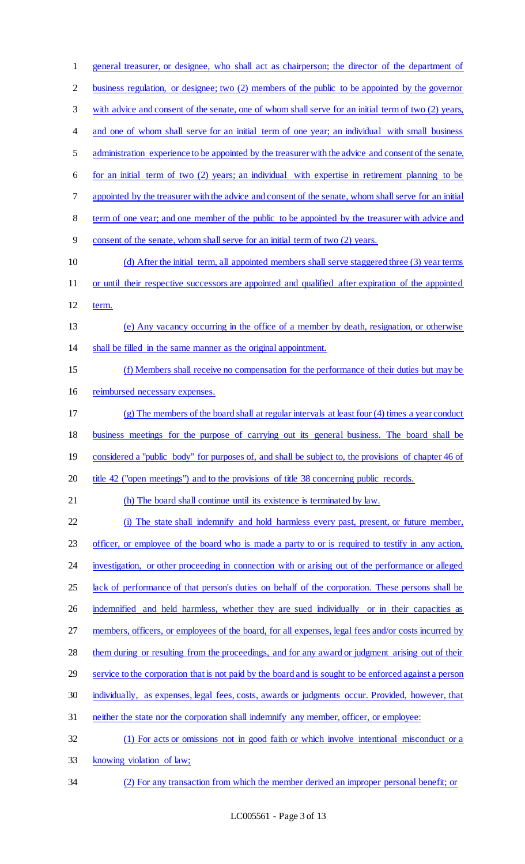| $\mathbf{1}$   | general treasurer, or designee, who shall act as chairperson; the director of the department of        |
|----------------|--------------------------------------------------------------------------------------------------------|
| $\overline{2}$ | business regulation, or designee; two (2) members of the public to be appointed by the governor        |
| 3              | with advice and consent of the senate, one of whom shall serve for an initial term of two (2) years,   |
| $\overline{4}$ | and one of whom shall serve for an initial term of one year; an individual with small business         |
| 5              | administration experience to be appointed by the treasurer with the advice and consent of the senate,  |
| 6              | for an initial term of two (2) years; an individual with expertise in retirement planning to be        |
| 7              | appointed by the treasurer with the advice and consent of the senate, whom shall serve for an initial  |
| 8              | term of one year; and one member of the public to be appointed by the treasurer with advice and        |
| 9              | consent of the senate, whom shall serve for an initial term of two (2) years.                          |
| 10             | (d) After the initial term, all appointed members shall serve staggered three (3) year terms           |
| 11             | or until their respective successors are appointed and qualified after expiration of the appointed     |
| 12             | term.                                                                                                  |
| 13             | (e) Any vacancy occurring in the office of a member by death, resignation, or otherwise                |
| 14             | shall be filled in the same manner as the original appointment.                                        |
| 15             | (f) Members shall receive no compensation for the performance of their duties but may be               |
| 16             | reimbursed necessary expenses.                                                                         |
| 17             | $(g)$ The members of the board shall at regular intervals at least four (4) times a year conduct       |
| 18             | business meetings for the purpose of carrying out its general business. The board shall be             |
| 19             | considered a "public body" for purposes of, and shall be subject to, the provisions of chapter 46 of   |
| 20             | title 42 ("open meetings") and to the provisions of title 38 concerning public records.                |
| 21             | (h) The board shall continue until its existence is terminated by law.                                 |
| 22             | (i) The state shall indemnify and hold harmless every past, present, or future member,                 |
| 23             | officer, or employee of the board who is made a party to or is required to testify in any action,      |
| 24             | investigation, or other proceeding in connection with or arising out of the performance or alleged     |
| 25             | lack of performance of that person's duties on behalf of the corporation. These persons shall be       |
| 26             | indemnified and held harmless, whether they are sued individually or in their capacities as            |
| 27             | members, officers, or employees of the board, for all expenses, legal fees and/or costs incurred by    |
| 28             | them during or resulting from the proceedings, and for any award or judgment arising out of their      |
| 29             | service to the corporation that is not paid by the board and is sought to be enforced against a person |
| 30             | individually, as expenses, legal fees, costs, awards or judgments occur. Provided, however, that       |
| 31             | neither the state nor the corporation shall indemnify any member, officer, or employee:                |
| 32             | (1) For acts or omissions not in good faith or which involve intentional misconduct or a               |
| 33             | knowing violation of law;                                                                              |
| 34             | (2) For any transaction from which the member derived an improper personal benefit; or                 |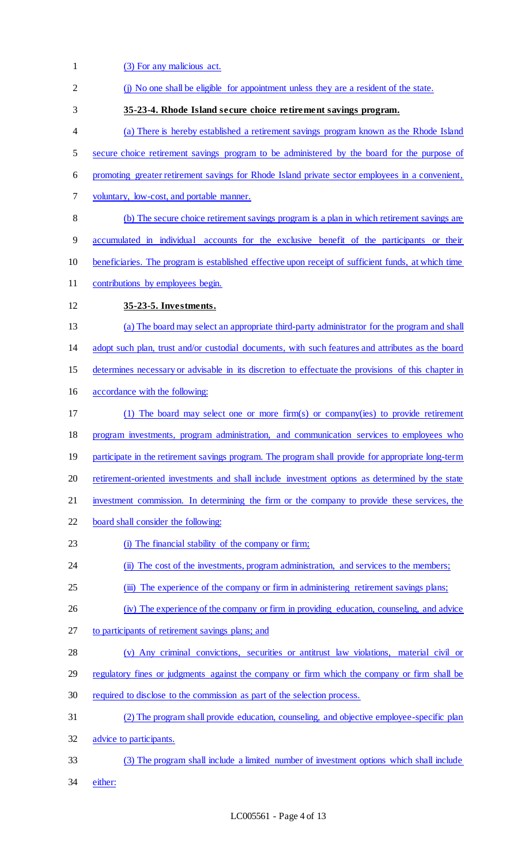1 (3) For any malicious act. 2 (j) No one shall be eligible for appointment unless they are a resident of the state. **35-23-4. Rhode Island secure choice retirement savings program.**  (a) There is hereby established a retirement savings program known as the Rhode Island 5 secure choice retirement savings program to be administered by the board for the purpose of promoting greater retirement savings for Rhode Island private sector employees in a convenient, voluntary, low-cost, and portable manner. (b) The secure choice retirement savings program is a plan in which retirement savings are accumulated in individual accounts for the exclusive benefit of the participants or their beneficiaries. The program is established effective upon receipt of sufficient funds, at which time contributions by employees begin. **35-23-5. Investments.**  (a) The board may select an appropriate third-party administrator for the program and shall adopt such plan, trust and/or custodial documents, with such features and attributes as the board determines necessary or advisable in its discretion to effectuate the provisions of this chapter in accordance with the following: (1) The board may select one or more firm(s) or company(ies) to provide retirement program investments, program administration, and communication services to employees who 19 participate in the retirement savings program. The program shall provide for appropriate long-term 20 retirement-oriented investments and shall include investment options as determined by the state investment commission. In determining the firm or the company to provide these services, the board shall consider the following: (i) The financial stability of the company or firm; 24 (ii) The cost of the investments, program administration, and services to the members; 25 (iii) The experience of the company or firm in administering retirement savings plans; (iv) The experience of the company or firm in providing education, counseling, and advice to participants of retirement savings plans; and (v) Any criminal convictions, securities or antitrust law violations, material civil or 29 regulatory fines or judgments against the company or firm which the company or firm shall be required to disclose to the commission as part of the selection process. (2) The program shall provide education, counseling, and objective employee-specific plan 32 advice to participants. (3) The program shall include a limited number of investment options which shall include either: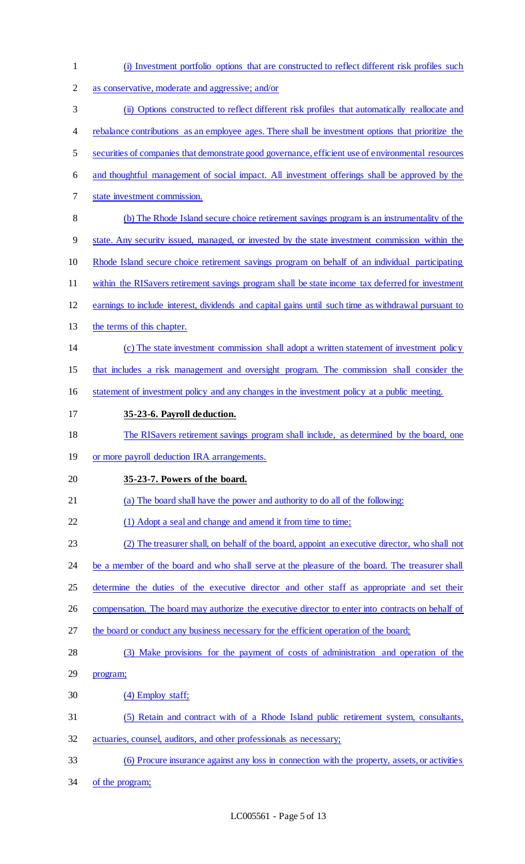| $\mathbf{1}$   | (i) Investment portfolio options that are constructed to reflect different risk profiles such       |
|----------------|-----------------------------------------------------------------------------------------------------|
| $\overline{2}$ | as conservative, moderate and aggressive; and/or                                                    |
| 3              | (ii) Options constructed to reflect different risk profiles that automatically reallocate and       |
| 4              | rebalance contributions as an employee ages. There shall be investment options that prioritize the  |
| 5              | securities of companies that demonstrate good governance, efficient use of environmental resources  |
| 6              | and thoughtful management of social impact. All investment offerings shall be approved by the       |
| 7              | state investment commission.                                                                        |
| 8              | (b) The Rhode Island secure choice retirement savings program is an instrumentality of the          |
| 9              | state. Any security issued, managed, or invested by the state investment commission within the      |
| 10             | Rhode Island secure choice retirement savings program on behalf of an individual participating      |
| 11             | within the RIS avers retirement savings program shall be state income tax deferred for investment   |
| 12             | earnings to include interest, dividends and capital gains until such time as withdrawal pursuant to |
| 13             | the terms of this chapter.                                                                          |
| 14             | (c) The state investment commission shall adopt a written statement of investment policy            |
| 15             | that includes a risk management and oversight program. The commission shall consider the            |
| 16             | statement of investment policy and any changes in the investment policy at a public meeting.        |
| 17             | 35-23-6. Payroll deduction.                                                                         |
| 18             | The RIS avers retirement savings program shall include, as determined by the board, one             |
| 19             | or more payroll deduction IRA arrangements.                                                         |
| 20             | 35-23-7. Powers of the board.                                                                       |
| 21             | (a) The board shall have the power and authority to do all of the following:                        |
| 22             | (1) Adopt a seal and change and amend it from time to time;                                         |
| 23             | (2) The treasurer shall, on behalf of the board, appoint an executive director, who shall not       |
| 24             | be a member of the board and who shall serve at the pleasure of the board. The treasurer shall      |
| 25             | determine the duties of the executive director and other staff as appropriate and set their         |
| 26             | compensation. The board may authorize the executive director to enter into contracts on behalf of   |
| 27             | the board or conduct any business necessary for the efficient operation of the board;               |
| 28             | (3) Make provisions for the payment of costs of administration and operation of the                 |
| 29             | program;                                                                                            |
| 30             | (4) Employ staff;                                                                                   |
| 31             | (5) Retain and contract with of a Rhode Island public retirement system, consultants,               |
| 32             | actuaries, counsel, auditors, and other professionals as necessary;                                 |
| 33             | (6) Procure insurance against any loss in connection with the property, assets, or activities       |
| 34             | of the program;                                                                                     |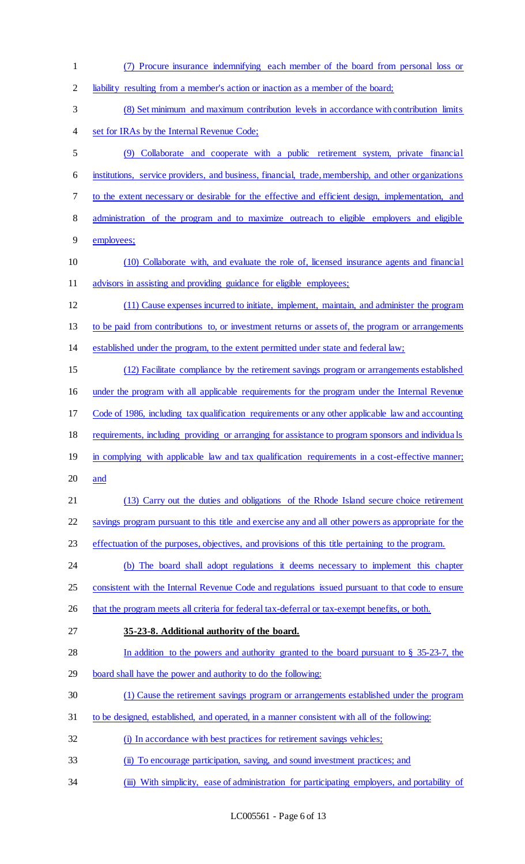(7) Procure insurance indemnifying each member of the board from personal loss or liability resulting from a member's action or inaction as a member of the board; (8) Set minimum and maximum contribution levels in accordance with contribution limits set for IRAs by the Internal Revenue Code; (9) Collaborate and cooperate with a public retirement system, private financial institutions, service providers, and business, financial, trade, membership, and other organizations to the extent necessary or desirable for the effective and efficient design, implementation, and administration of the program and to maximize outreach to eligible employers and eligible employees; (10) Collaborate with, and evaluate the role of, licensed insurance agents and financial 11 advisors in assisting and providing guidance for eligible employees; (11) Cause expenses incurred to initiate, implement, maintain, and administer the program to be paid from contributions to, or investment returns or assets of, the program or arrangements established under the program, to the extent permitted under state and federal law; (12) Facilitate compliance by the retirement savings program or arrangements established under the program with all applicable requirements for the program under the Internal Revenue Code of 1986, including tax qualification requirements or any other applicable law and accounting requirements, including providing or arranging for assistance to program sponsors and individua ls 19 in complying with applicable law and tax qualification requirements in a cost-effective manner; and (13) Carry out the duties and obligations of the Rhode Island secure choice retirement savings program pursuant to this title and exercise any and all other powers as appropriate for the effectuation of the purposes, objectives, and provisions of this title pertaining to the program. (b) The board shall adopt regulations it deems necessary to implement this chapter 25 consistent with the Internal Revenue Code and regulations issued pursuant to that code to ensure 26 that the program meets all criteria for federal tax-deferral or tax-exempt benefits, or both. **35-23-8. Additional authority of the board.**  In addition to the powers and authority granted to the board pursuant to § 35-23-7, the board shall have the power and authority to do the following: (1) Cause the retirement savings program or arrangements established under the program to be designed, established, and operated, in a manner consistent with all of the following: 32 (i) In accordance with best practices for retirement savings vehicles; (ii) To encourage participation, saving, and sound investment practices; and 34 (iii) With simplicity, ease of administration for participating employers, and portability of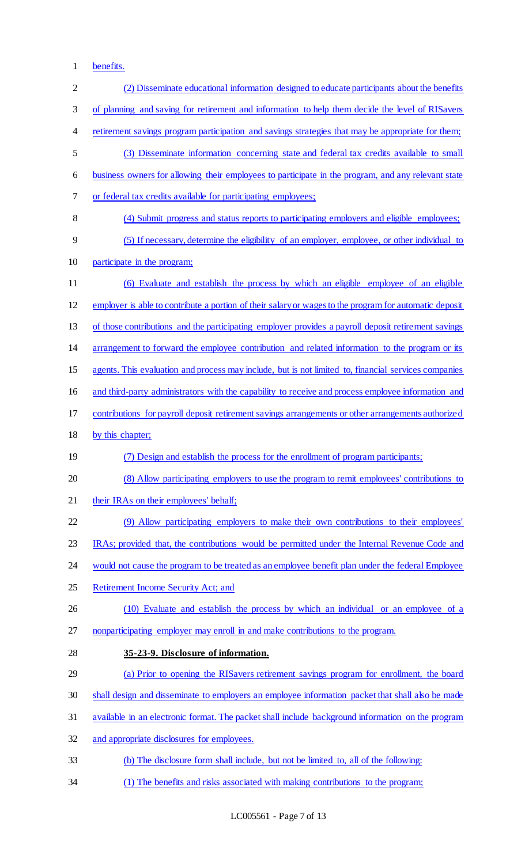benefits.

| $\mathbf{2}$ | (2) Disseminate educational information designed to educate participants about the benefits            |
|--------------|--------------------------------------------------------------------------------------------------------|
| 3            | of planning and saving for retirement and information to help them decide the level of RIS avers       |
| 4            | retirement savings program participation and savings strategies that may be appropriate for them;      |
| 5            | (3) Disseminate information concerning state and federal tax credits available to small                |
| 6            | business owners for allowing their employees to participate in the program, and any relevant state     |
| 7            | or federal tax credits available for participating employees;                                          |
| 8            | (4) Submit progress and status reports to participating employers and eligible employees;              |
| 9            | (5) If necessary, determine the eligibility of an employer, employee, or other individual to           |
| 10           | participate in the program;                                                                            |
| 11           | (6) Evaluate and establish the process by which an eligible employee of an eligible                    |
| 12           | employer is able to contribute a portion of their salary or wages to the program for automatic deposit |
| 13           | of those contributions and the participating employer provides a payroll deposit retirement savings    |
| 14           | arrangement to forward the employee contribution and related information to the program or its         |
| 15           | agents. This evaluation and process may include, but is not limited to, financial services companies   |
| 16           | and third-party administrators with the capability to receive and process employee information and     |
| 17           | contributions for payroll deposit retirement savings arrangements or other arrangements authorized     |
| 18           | by this chapter;                                                                                       |
|              |                                                                                                        |
| 19           | (7) Design and establish the process for the enrollment of program participants;                       |
| 20           | (8) Allow participating employers to use the program to remit employees' contributions to              |
| 21           | their IRAs on their employees' behalf;                                                                 |
| 22           | (9) Allow participating employers to make their own contributions to their employees'                  |
| 23           | IRAs; provided that, the contributions would be permitted under the Internal Revenue Code and          |
| 24           | would not cause the program to be treated as an employee benefit plan under the federal Employee       |
| 25           | Retirement Income Security Act; and                                                                    |
| 26           | (10) Evaluate and establish the process by which an individual or an employee of a                     |
| 27           | nonparticipating employer may enroll in and make contributions to the program.                         |
| 28           | 35-23-9. Disclosure of information.                                                                    |
| 29           | (a) Prior to opening the RISavers retirement savings program for enrollment, the board                 |
| 30           | shall design and disseminate to employers an employee information packet that shall also be made       |
| 31           | available in an electronic format. The packet shall include background information on the program      |
| 32           | and appropriate disclosures for employees.                                                             |
| 33           | (b) The disclosure form shall include, but not be limited to, all of the following:                    |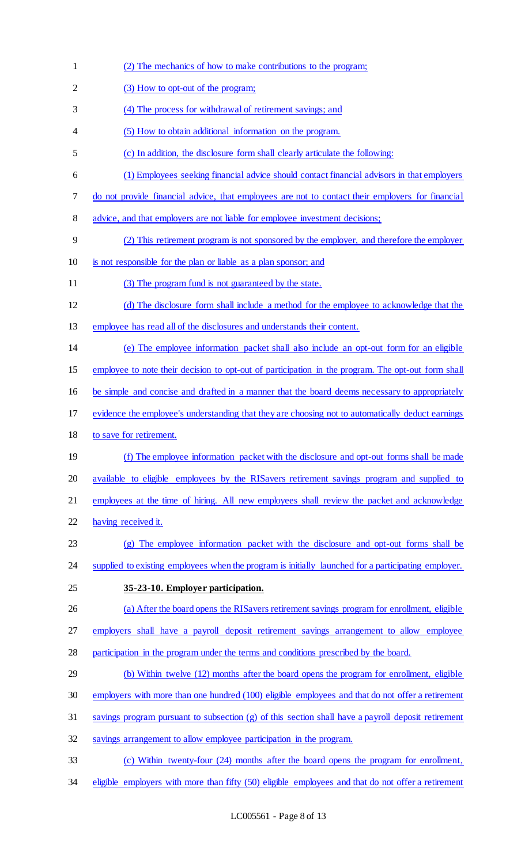(2) The mechanics of how to make contributions to the program; 2 (3) How to opt-out of the program; (4) The process for withdrawal of retirement savings; and (5) How to obtain additional information on the program. (c) In addition, the disclosure form shall clearly articulate the following: (1) Employees seeking financial advice should contact financial advisors in that employers do not provide financial advice, that employees are not to contact their employers for financial 8 advice, and that employers are not liable for employee investment decisions; (2) This retirement program is not sponsored by the employer, and therefore the employer is not responsible for the plan or liable as a plan sponsor; and (3) The program fund is not guaranteed by the state. (d) The disclosure form shall include a method for the employee to acknowledge that the employee has read all of the disclosures and understands their content. (e) The employee information packet shall also include an opt-out form for an eligible employee to note their decision to opt-out of participation in the program. The opt-out form shall be simple and concise and drafted in a manner that the board deems necessary to appropriately evidence the employee's understanding that they are choosing not to automatically deduct earnings to save for retirement. (f) The employee information packet with the disclosure and opt-out forms shall be made available to eligible employees by the RISavers retirement savings program and supplied to employees at the time of hiring. All new employees shall review the packet and acknowledge having received it. (g) The employee information packet with the disclosure and opt-out forms shall be 24 supplied to existing employees when the program is initially launched for a participating employer. **35-23-10. Employer participation.**  26 (a) After the board opens the RIS avers retirement savings program for enrollment, eligible employers shall have a payroll deposit retirement savings arrangement to allow employee participation in the program under the terms and conditions prescribed by the board. 29 (b) Within twelve (12) months after the board opens the program for enrollment, eligible employers with more than one hundred (100) eligible employees and that do not offer a retirement savings program pursuant to subsection (g) of this section shall have a payroll deposit retirement savings arrangement to allow employee participation in the program. (c) Within twenty-four (24) months after the board opens the program for enrollment, 34 eligible employers with more than fifty (50) eligible employees and that do not offer a retirement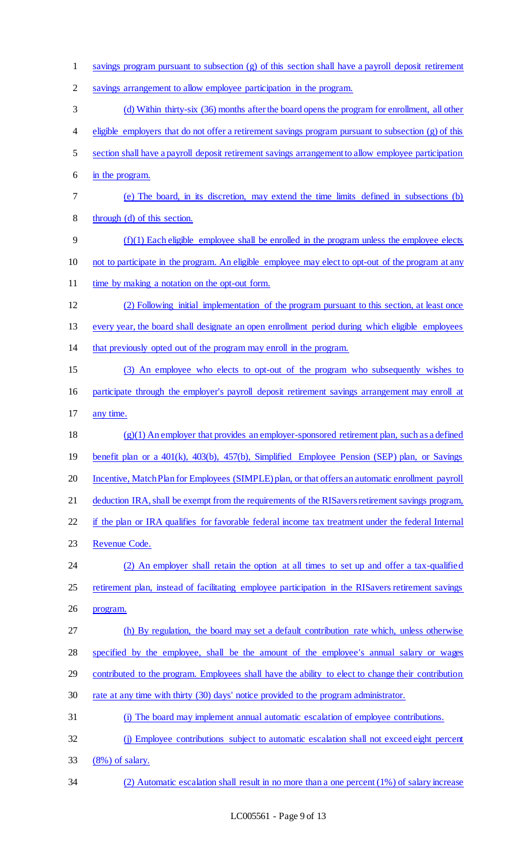savings program pursuant to subsection (g) of this section shall have a payroll deposit retirement savings arrangement to allow employee participation in the program. (d) Within thirty-six (36) months after the board opens the program for enrollment, all other eligible employers that do not offer a retirement savings program pursuant to subsection (g) of this section shall have a payroll deposit retirement savings arrangement to allow employee participation in the program. (e) The board, in its discretion, may extend the time limits defined in subsections (b) through (d) of this section. (f)(1) Each eligible employee shall be enrolled in the program unless the employee elects not to participate in the program. An eligible employee may elect to opt-out of the program at any 11 time by making a notation on the opt-out form. (2) Following initial implementation of the program pursuant to this section, at least once every year, the board shall designate an open enrollment period during which eligible employees that previously opted out of the program may enroll in the program. (3) An employee who elects to opt-out of the program who subsequently wishes to participate through the employer's payroll deposit retirement savings arrangement may enroll at any time. (g)(1) An employer that provides an employer-sponsored retirement plan, such as a defined benefit plan or a 401(k), 403(b), 457(b), Simplified Employee Pension (SEP) plan, or Savings 20 Incentive, Match Plan for Employees (SIMPLE) plan, or that offers an automatic enrollment payroll deduction IRA, shall be exempt from the requirements of the RISavers retirement savings program, 22 if the plan or IRA qualifies for favorable federal income tax treatment under the federal Internal Revenue Code. (2) An employer shall retain the option at all times to set up and offer a tax-qualified retirement plan, instead of facilitating employee participation in the RISavers retirement savings program. (h) By regulation, the board may set a default contribution rate which, unless otherwise specified by the employee, shall be the amount of the employee's annual salary or wages 29 contributed to the program. Employees shall have the ability to elect to change their contribution rate at any time with thirty (30) days' notice provided to the program administrator. (i) The board may implement annual automatic escalation of employee contributions. (j) Employee contributions subject to automatic escalation shall not exceed eight percent (8%) of salary. (2) Automatic escalation shall result in no more than a one percent (1%) of salary increase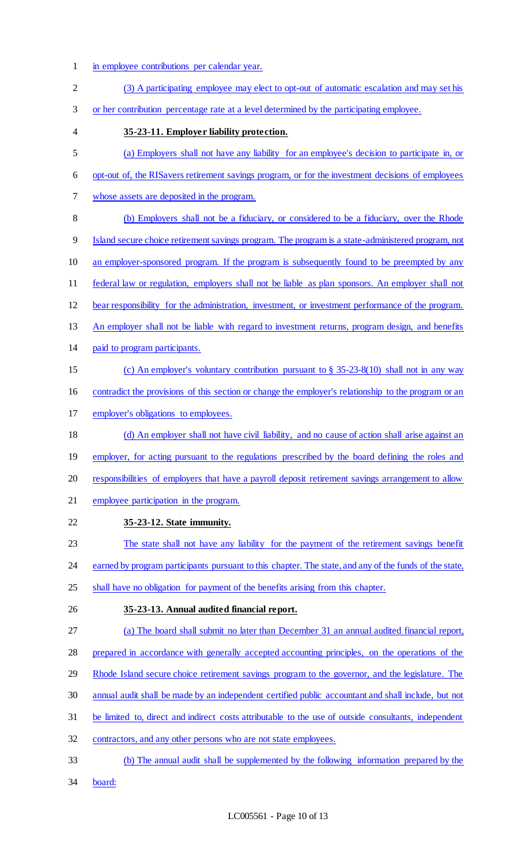- in employee contributions per calendar year.
- (3) A participating employee may elect to opt-out of automatic escalation and may set his or her contribution percentage rate at a level determined by the participating employee. **35-23-11. Employer liability protection.**  (a) Employers shall not have any liability for an employee's decision to participate in, or opt-out of, the RISavers retirement savings program, or for the investment decisions of employees whose assets are deposited in the program. (b) Employers shall not be a fiduciary, or considered to be a fiduciary, over the Rhode Island secure choice retirement savings program. The program is a state-administered program, not an employer-sponsored program. If the program is subsequently found to be preempted by any federal law or regulation, employers shall not be liable as plan sponsors. An employer shall not bear responsibility for the administration, investment, or investment performance of the program. 13 An employer shall not be liable with regard to investment returns, program design, and benefits paid to program participants. (c) An employer's voluntary contribution pursuant to § 35-23-8(10) shall not in any way contradict the provisions of this section or change the employer's relationship to the program or an employer's obligations to employees. (d) An employer shall not have civil liability, and no cause of action shall arise against an 19 employer, for acting pursuant to the regulations prescribed by the board defining the roles and 20 responsibilities of employers that have a payroll deposit retirement savings arrangement to allow employee participation in the program. **35-23-12. State immunity.**  The state shall not have any liability for the payment of the retirement savings benefit 24 earned by program participants pursuant to this chapter. The state, and any of the funds of the state, 25 shall have no obligation for payment of the benefits arising from this chapter. **35-23-13. Annual audited financial report.**  (a) The board shall submit no later than December 31 an annual audited financial report, prepared in accordance with generally accepted accounting principles, on the operations of the 29 Rhode Island secure choice retirement savings program to the governor, and the legislature. The annual audit shall be made by an independent certified public accountant and shall include, but not be limited to, direct and indirect costs attributable to the use of outside consultants, independent contractors, and any other persons who are not state employees. (b) The annual audit shall be supplemented by the following information prepared by the board: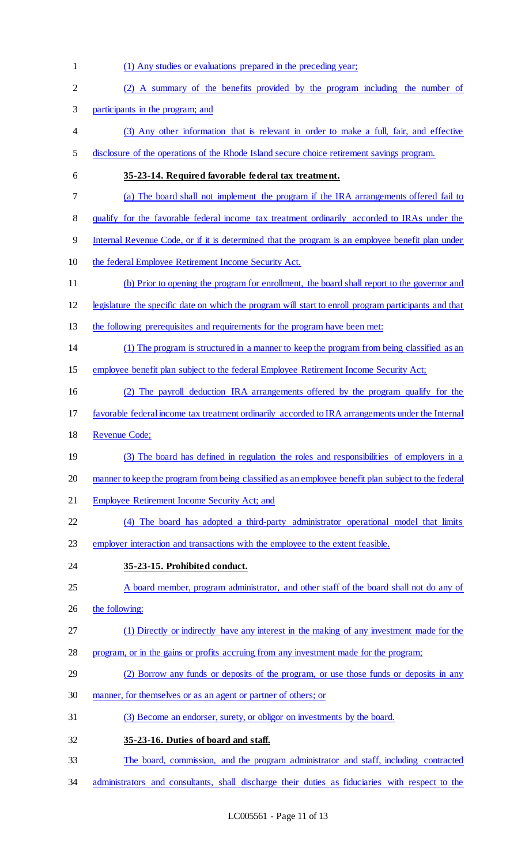(1) Any studies or evaluations prepared in the preceding year; (2) A summary of the benefits provided by the program including the number of participants in the program; and (3) Any other information that is relevant in order to make a full, fair, and effective disclosure of the operations of the Rhode Island secure choice retirement savings program. **35-23-14. Required favorable federal tax treatment.**  (a) The board shall not implement the program if the IRA arrangements offered fail to 8 qualify for the favorable federal income tax treatment ordinarily accorded to IRAs under the Internal Revenue Code, or if it is determined that the program is an employee benefit plan under the federal Employee Retirement Income Security Act. (b) Prior to opening the program for enrollment, the board shall report to the governor and legislature the specific date on which the program will start to enroll program participants and that the following prerequisites and requirements for the program have been met: (1) The program is structured in a manner to keep the program from being classified as an employee benefit plan subject to the federal Employee Retirement Income Security Act; (2) The payroll deduction IRA arrangements offered by the program qualify for the favorable federal income tax treatment ordinarily accorded to IRA arrangements under the Internal Revenue Code; 19 (3) The board has defined in regulation the roles and responsibilities of employers in a manner to keep the program from being classified as an employee benefit plan subject to the federal Employee Retirement Income Security Act; and (4) The board has adopted a third-party administrator operational model that limits employer interaction and transactions with the employee to the extent feasible. **35-23-15. Prohibited conduct.**  25 A board member, program administrator, and other staff of the board shall not do any of 26 the following: (1) Directly or indirectly have any interest in the making of any investment made for the program, or in the gains or profits accruing from any investment made for the program; (2) Borrow any funds or deposits of the program, or use those funds or deposits in any manner, for themselves or as an agent or partner of others; or (3) Become an endorser, surety, or obligor on investments by the board. **35-23-16. Duties of board and staff.**  The board, commission, and the program administrator and staff, including contracted administrators and consultants, shall discharge their duties as fiduciaries with respect to the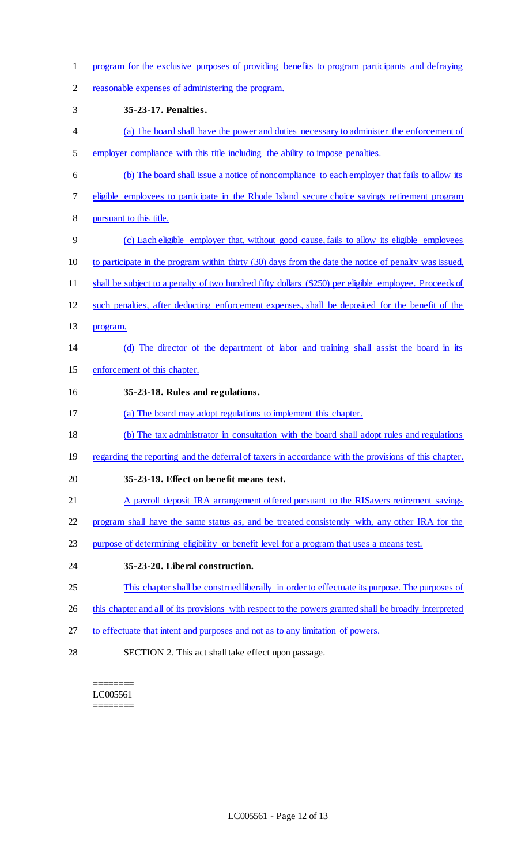- program for the exclusive purposes of providing benefits to program participants and defraying
- reasonable expenses of administering the program.
- **35-23-17. Penalties.**
- (a) The board shall have the power and duties necessary to administer the enforcement of employer compliance with this title including the ability to impose penalties.
- (b) The board shall issue a notice of noncompliance to each employer that fails to allow its
- eligible employees to participate in the Rhode Island secure choice savings retirement program
- pursuant to this title.
- (c) Each eligible employer that, without good cause, fails to allow its eligible employees
- to participate in the program within thirty (30) days from the date the notice of penalty was issued,
- shall be subject to a penalty of two hundred fifty dollars (\$250) per eligible employee. Proceeds of
- such penalties, after deducting enforcement expenses, shall be deposited for the benefit of the
- program.

# (d) The director of the department of labor and training shall assist the board in its

- enforcement of this chapter.
- **35-23-18. Rules and regulations.**
- (a) The board may adopt regulations to implement this chapter.
- (b) The tax administrator in consultation with the board shall adopt rules and regulations
- 19 regarding the reporting and the deferral of taxers in accordance with the provisions of this chapter.

## **35-23-19. Effect on benefit means test.**

- 21 A payroll deposit IRA arrangement offered pursuant to the RISavers retirement savings
- 22 program shall have the same status as, and be treated consistently with, any other IRA for the
- purpose of determining eligibility or benefit level for a program that uses a means test.
- **35-23-20. Liberal construction.**
- This chapter shall be construed liberally in order to effectuate its purpose. The purposes of
- 26 this chapter and all of its provisions with respect to the powers granted shall be broadly interpreted
- to effectuate that intent and purposes and not as to any limitation of powers.
- SECTION 2. This act shall take effect upon passage.

======== LC005561 ========